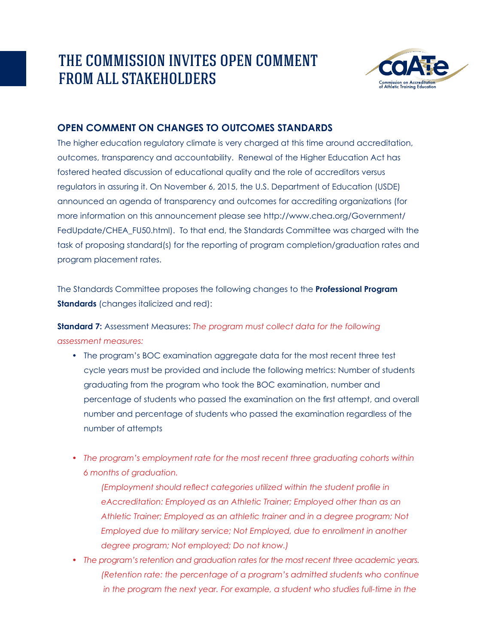## THE COMMISSION INVITES OPEN COMMENT FROM ALL STAKEHOLDERS



## **Open Comment on Changes to Outcomes Standards**

The higher education regulatory climate is very charged at this time around accreditation, outcomes, transparency and accountability. Renewal of the Higher Education Act has fostered heated discussion of educational quality and the role of accreditors versus regulators in assuring it. On November 6, 2015, the U.S. Department of Education (USDE) announced an agenda of transparency and outcomes for accrediting organizations (for more information on this announcement please see http://www.chea.org/Government/ FedUpdate/CHEA\_FU50.html). To that end, the Standards Committee was charged with the task of proposing standard(s) for the reporting of program completion/graduation rates and program placement rates.

The Standards Committee proposes the following changes to the **Professional Program Standards** (changes italicized and red):

**Standard 7:** Assessment Measures: *The program must collect data for the following assessment measures:*

- The program's BOC examination aggregate data for the most recent three test cycle years must be provided and include the following metrics: Number of students graduating from the program who took the BOC examination, number and percentage of students who passed the examination on the first attempt, and overall number and percentage of students who passed the examination regardless of the number of attempts
- *• The program's employment rate for the most recent three graduating cohorts within 6 months of graduation.*

 *(Employment should reflect categories utilized within the student profile in eAccreditation: Employed as an Athletic Trainer; Employed other than as an Athletic Trainer; Employed as an athletic trainer and in a degree program; Not Employed due to military service; Not Employed, due to enrollment in another degree program; Not employed; Do not know.)*

*• The program's retention and graduation rates for the most recent three academic years. (Retention rate: the percentage of a program's admitted students who continue in the program the next year. For example, a student who studies full-time in the*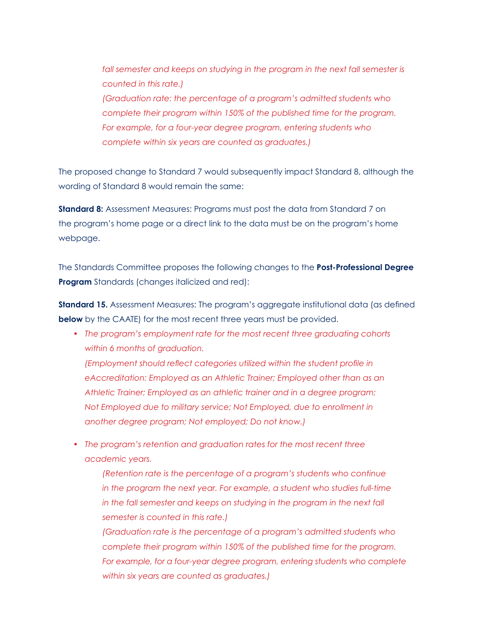fall semester and keeps on studying in the program in the next fall semester is  *counted in this rate.) (Graduation rate: the percentage of a program's admitted students who complete their program within 150% of the published time for the program. For example, for a four-year degree program, entering students who complete within six years are counted as graduates.)*

The proposed change to Standard 7 would subsequently impact Standard 8, although the wording of Standard 8 would remain the same:

**Standard 8:** Assessment Measures: Programs must post the data from Standard 7 on the program's home page or a direct link to the data must be on the program's home webpage.

The Standards Committee proposes the following changes to the **Post-Professional Degree Program** Standards (changes italicized and red):

**Standard 15.** Assessment Measures: The program's aggregate institutional data (as defined **below** by the CAATE) for the most recent three years must be provided.

- *• The program's employment rate for the most recent three graduating cohorts within 6 months of graduation. (Employment should reflect categories utilized within the student profile in eAccreditation: Employed as an Athletic Trainer; Employed other than as an Athletic Trainer; Employed as an athletic trainer and in a degree program; Not Employed due to military service; Not Employed, due to enrollment in another degree program; Not employed; Do not know.)*
- *• The program's retention and graduation rates for the most recent three academic years.*

 *(Retention rate is the percentage of a program's students who continue in the program the next year. For example, a student who studies full-time in the fall semester and keeps on studying in the program in the next fall semester is counted in this rate.)*

 *(Graduation rate is the percentage of a program's admitted students who complete their program within 150% of the published time for the program. For example, for a four-year degree program, entering students who complete within six years are counted as graduates.)*